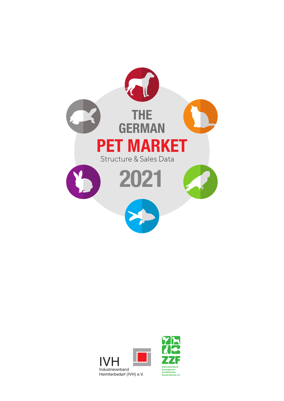

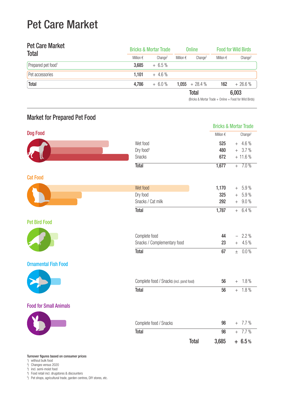## Pet Care Market

| <b>Pet Care Market</b><br><b>Total</b> |                    | <b>Bricks &amp; Mortar Trade</b> |                    | <b>Online</b>       |                    | <b>Food for Wild Birds</b> |  |
|----------------------------------------|--------------------|----------------------------------|--------------------|---------------------|--------------------|----------------------------|--|
|                                        | Million $\epsilon$ | Chanae <sup>2</sup>              | Million $\epsilon$ | Change <sup>2</sup> | Million $\epsilon$ | Change <sup>2</sup>        |  |
| Prepared pet food <sup>1</sup>         | 3,685              | $+6.5%$                          |                    |                     |                    |                            |  |
| Pet accessories                        | 1.101              | $+ 4.6 \%$                       |                    |                     |                    |                            |  |
| Total                                  | 4,786              | $+6.0%$                          |                    | $1,055 + 28.4 \%$   | 162                | $+26.6%$                   |  |
|                                        |                    |                                  | <b>Total</b>       |                     |                    | 6,003                      |  |

(Bricks & Mortar Trade + Online + Food for Wild Birds)

| <b>IVIAINGLIUI FIGUAIGU FULLUUU</b> |                                          |                    |                                  |
|-------------------------------------|------------------------------------------|--------------------|----------------------------------|
| Dog Food                            |                                          |                    | <b>Bricks &amp; Mortar Trade</b> |
|                                     |                                          | Million $\epsilon$ | Change <sup>2</sup>              |
|                                     | Wet food                                 | 525                | $+ 4.6 %$                        |
|                                     | Dry food <sup>3</sup>                    | 480                | $+ 3.7 %$                        |
|                                     | Snacks                                   | 672                | $+ 11.6 %$                       |
|                                     | <b>Total</b>                             | 1,677              | $+ 7.0%$                         |
| <b>Cat Food</b>                     |                                          |                    |                                  |
|                                     | Wet food                                 | 1,170              | $+ 5.9 \%$                       |
|                                     | Dry food                                 | 325                | $+ 5.9 \%$                       |
|                                     | Snacks / Cat milk                        | 292                | $+ 9.0 %$                        |
|                                     | <b>Total</b>                             | 1,787              | 6.4%<br>$+$                      |
| <b>Pet Bird Food</b>                |                                          |                    |                                  |
|                                     | Complete food                            | 44                 | 2.2 %<br>$\equiv$                |
|                                     | Snacks / Complementary food              | 23                 | 4.5%<br>$+$                      |
|                                     | <b>Total</b>                             | 67                 | $0.0\%$<br>$\pm$                 |
| <b>Ornamental Fish Food</b>         |                                          |                    |                                  |
|                                     |                                          |                    |                                  |
|                                     | Complete food / Snacks (incl. pond food) | 56                 | $+ 1.8 \%$                       |
|                                     | <b>Total</b>                             | 56                 | $+ 1.8 \%$                       |
| <b>Food for Small Animals</b>       |                                          |                    |                                  |
|                                     |                                          |                    |                                  |
|                                     | Complete food / Snacks                   | 98                 | $+ 7.7 %$                        |
|                                     | <b>Total</b>                             | $\overline{98}$    | $+ 7.7 %$                        |
|                                     | <b>Total</b>                             | 3,685              | $+6.5%$                          |
|                                     |                                          |                    |                                  |

## Market for Prepared Pet Food

#### Turnover figures based on consumer prices

1 ) without bulk food

<sup>2</sup>) Changes versus 2020<br><sup>3</sup>) incl. semi-moist food<br><sup>4</sup>) Food retail incl. drugstores & discounters<br><sup>5</sup>) Pet shops, agricultural trade, garden centres, DIY stores, etc.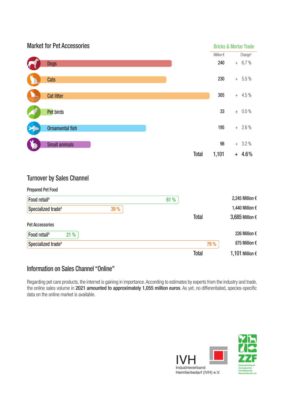

### Turnover by Sales Channel

| <b>Prepared Pet Food</b>                      |      |              |                          |
|-----------------------------------------------|------|--------------|--------------------------|
| Food retail <sup>4</sup>                      | 61 % |              | 2,245 Million €          |
| Specialized trade <sup>5</sup><br><b>39 %</b> |      |              | 1,440 Million $\epsilon$ |
|                                               |      | <b>Total</b> | 3,685 Million $\epsilon$ |
| <b>Pet Accessories</b>                        |      |              |                          |
| 21 %<br>Food retail <sup>4</sup>              |      |              | 226 Million $\epsilon$   |
| Specialized trade <sup>5</sup>                |      | 79 %         | 875 Million €            |
|                                               |      | <b>Total</b> | 1,101 Million $\epsilon$ |

#### Information on Sales Channel "Online"

 Regarding pet care products, the internet is gaining in importance. According to estimates by experts from the industry and trade, the online sales volume in 2021 amounted to approximately 1,055 million euros. As yet, no differentiated, species-specific data on the online market is available.